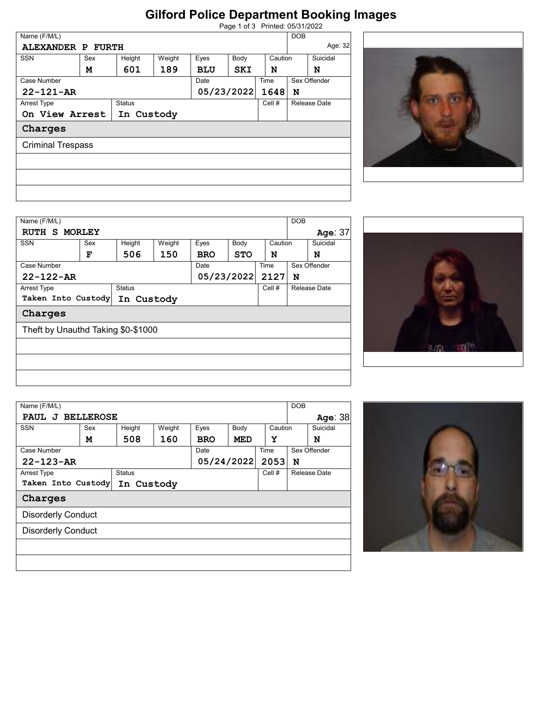## **Gilford Police Department Booking Images**

| Page 1 of 3 Printed: 05/31/2022 |  |
|---------------------------------|--|
|                                 |  |

| Name (F/M/L)    |                          |               |        |            |            |         | <b>DOB</b>   |         |
|-----------------|--------------------------|---------------|--------|------------|------------|---------|--------------|---------|
|                 | <b>ALEXANDER P FURTH</b> |               |        |            |            |         |              | Age: 32 |
| <b>SSN</b>      | Sex                      | Height        | Weight | Eyes       | Body       | Caution | Suicidal     |         |
|                 | м                        | 601           | 189    | <b>BLU</b> | SKI        | N       | N            |         |
| Case Number     |                          |               |        | Date       |            | Time    | Sex Offender |         |
| $22 - 121 - AR$ |                          |               |        |            | 05/23/2022 | 1648    | N            |         |
| Arrest Type     |                          | <b>Status</b> |        |            |            | Cell #  | Release Date |         |
|                 | On View Arrest           | In Custody    |        |            |            |         |              |         |
| Charges         |                          |               |        |            |            |         |              |         |
|                 | <b>Criminal Trespass</b> |               |        |            |            |         |              |         |
|                 |                          |               |        |            |            |         |              |         |
|                 |                          |               |        |            |            |         |              |         |
|                 |                          |               |        |            |            |         |              |         |
|                 |                          |               |        |            |            |         |              |         |
|                 |                          |               |        |            |            |         |              |         |



| Name (F/M/L)                       |     |               |        |            |            |         | <b>DOB</b> |              |
|------------------------------------|-----|---------------|--------|------------|------------|---------|------------|--------------|
| RUTH S MORLEY                      |     |               |        |            |            |         |            | Age: 37      |
| <b>SSN</b>                         | Sex | Height        | Weight | Eyes       | Body       | Caution |            | Suicidal     |
|                                    | F   | 506           | 150    | <b>BRO</b> | <b>STO</b> | N       |            | N            |
| Case Number                        |     |               |        | Date       |            | Time    |            | Sex Offender |
| $22 - 122 - AR$                    |     |               |        |            | 05/23/2022 | 2127    | N          |              |
| Arrest Type                        |     | <b>Status</b> |        |            |            | Cell #  |            | Release Date |
| Taken Into Custody                 |     | In Custody    |        |            |            |         |            |              |
| Charges                            |     |               |        |            |            |         |            |              |
| Theft by Unauthd Taking \$0-\$1000 |     |               |        |            |            |         |            |              |
|                                    |     |               |        |            |            |         |            |              |
|                                    |     |               |        |            |            |         |            |              |
|                                    |     |               |        |            |            |         |            |              |



| Name (F/M/L)                     |     |               |        |            |      |         | <b>DOB</b> |              |
|----------------------------------|-----|---------------|--------|------------|------|---------|------------|--------------|
| PAUL J BELLEROSE                 |     |               |        |            |      |         |            | Age: 38      |
| <b>SSN</b>                       | Sex | Height        | Weight | Eyes       | Body | Caution |            | Suicidal     |
|                                  | М   | 508           | 160    | <b>BRO</b> | MED  | Y       |            | N            |
| Case Number                      |     |               |        | Date       |      | Time    |            | Sex Offender |
| $22 - 123 - AR$                  |     |               |        | 05/24/2022 |      | 2053    | N          |              |
| Arrest Type                      |     | <b>Status</b> |        |            |      | Cell #  |            | Release Date |
| Taken Into Custody<br>In Custody |     |               |        |            |      |         |            |              |
| Charges                          |     |               |        |            |      |         |            |              |
| <b>Disorderly Conduct</b>        |     |               |        |            |      |         |            |              |
| <b>Disorderly Conduct</b>        |     |               |        |            |      |         |            |              |
|                                  |     |               |        |            |      |         |            |              |
|                                  |     |               |        |            |      |         |            |              |
|                                  |     |               |        |            |      |         |            |              |